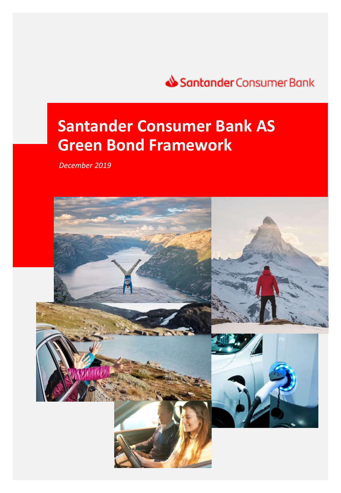

# **Santander Consumer Bank AS Green Bond Framework**

*December 2019*

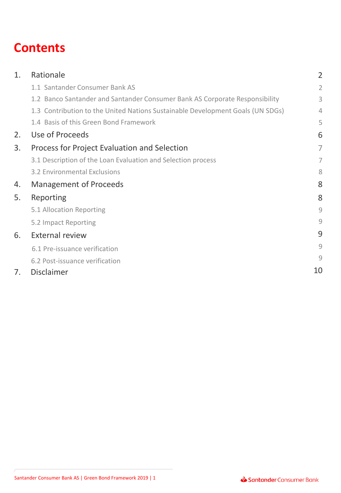## **Contents**

| 1. | Rationale                                                                      | $\overline{2}$ |
|----|--------------------------------------------------------------------------------|----------------|
|    | 1.1 Santander Consumer Bank AS                                                 | $\overline{2}$ |
|    | 1.2 Banco Santander and Santander Consumer Bank AS Corporate Responsibility    | 3              |
|    | 1.3 Contribution to the United Nations Sustainable Development Goals (UN SDGs) | 4              |
|    | 1.4 Basis of this Green Bond Framework                                         | 5              |
| 2. | Use of Proceeds                                                                | 6              |
| 3. | Process for Project Evaluation and Selection                                   | 7              |
|    | 3.1 Description of the Loan Evaluation and Selection process                   | 7              |
|    | 3.2 Environmental Exclusions                                                   | 8              |
| 4. | <b>Management of Proceeds</b>                                                  | 8              |
| 5. | Reporting                                                                      | 8              |
|    | 5.1 Allocation Reporting                                                       | 9              |
|    | 5.2 Impact Reporting                                                           | 9              |
| 6. | <b>External review</b>                                                         | 9              |
|    | 6.1 Pre-issuance verification                                                  | 9              |
|    | 6.2 Post-issuance verification                                                 | 9              |
| 7. | <b>Disclaimer</b>                                                              | 10             |
|    |                                                                                |                |

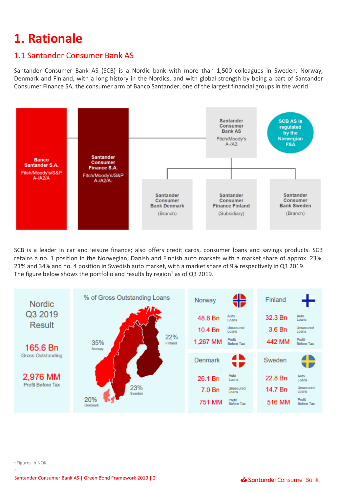## **1. Rationale**

## 1.1 Santander Consumer Bank AS

Santander Consumer Bank AS (SCB) is a Nordic bank with more than 1,500 colleagues in Sweden, Norway, Denmark and Finland, with a long history in the Nordics, and with global strength by being a part of Santander Consumer Finance SA, the consumer arm of Banco Santander, one of the largest financial groups in the world.



SCB is a leader in car and leisure finance; also offers credit cards, consumer loans and savings products. SCB retains a no. 1 position in the Norwegian, Danish and Finnish auto markets with a market share of approx. 23%, 21% and 34% and no. 4 position in Swedish auto market, with a market share of 9% respectively in Q3 2019. The figure below shows the portfolio and results by region<sup>1</sup> as of Q3 2019.



<sup>1</sup> Figures in NOK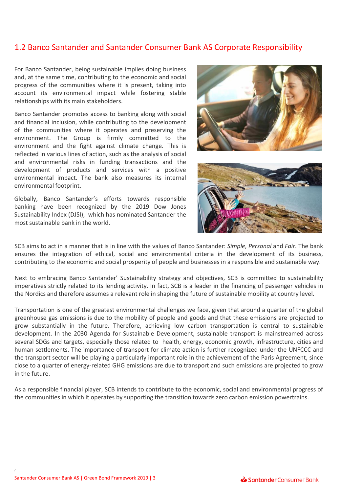### 1.2 Banco Santander and Santander Consumer Bank AS Corporate Responsibility

For Banco Santander, being sustainable implies doing business and, at the same time, contributing to the economic and social progress of the communities where it is present, taking into account its environmental impact while fostering stable relationships with its main stakeholders.

Banco Santander promotes access to banking along with social and financial inclusion, while contributing to the development of the communities where it operates and preserving the environment. The Group is firmly committed to the environment and the fight against climate change. This is reflected in various lines of action, such as the analysis of social and environmental risks in funding transactions and the development of products and services with a positive environmental impact. The bank also measures its internal environmental footprint.

Globally, Banco Santander's efforts towards responsible banking have been recognized by the 2019 Dow Jones Sustainability Index (DJSI), which has nominated Santander the most sustainable bank in the world.





SCB aims to act in a manner that is in line with the values of Banco Santander: *Simple*, *Personal* and *Fair*. The bank ensures the integration of ethical, social and environmental criteria in the development of its business, contributing to the economic and social prosperity of people and businesses in a responsible and sustainable way.

Next to embracing Banco Santander' Sustainability strategy and objectives, SCB is committed to sustainability imperatives strictly related to its lending activity. In fact, SCB is a leader in the financing of passenger vehicles in the Nordics and therefore assumes a relevant role in shaping the future of sustainable mobility at country level.

Transportation is one of the greatest environmental challenges we face, given that around a quarter of the global greenhouse gas emissions is due to the mobility of people and goods and that these emissions are projected to grow substantially in the future. Therefore, achieving low carbon transportation is central to sustainable development. In the 2030 Agenda for Sustainable Development, sustainable transport is mainstreamed across several SDGs and targets, especially those related to health, energy, economic growth, infrastructure, cities and human settlements. The importance of transport for climate action is further recognized under the UNFCCC and the transport sector will be playing a particularly important role in the achievement of the Paris Agreement, since close to a quarter of energy-related GHG emissions are due to transport and such emissions are projected to grow in the future.

As a responsible financial player, SCB intends to contribute to the economic, social and environmental progress of the communities in which it operates by supporting the transition towards zero carbon emission powertrains.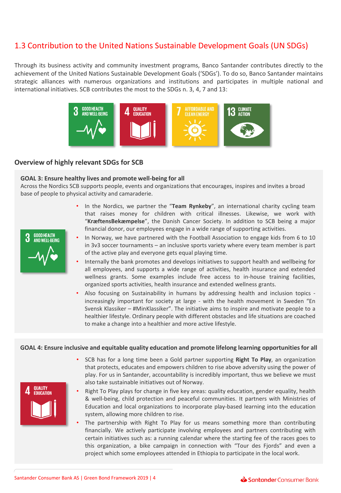### 1.3 Contribution to the United Nations Sustainable Development Goals (UN SDGs)

Through its business activity and community investment programs, Banco Santander contributes directly to the achievement of the United Nations Sustainable Development Goals ('SDGs'). To do so, Banco Santander maintains strategic alliances with numerous organizations and institutions and participates in multiple national and international initiatives. SCB contributes the most to the SDGs n. 3, 4, 7 and 13:



#### **Overview of highly relevant SDGs for SCB**

#### **GOAL 3: Ensure healthy lives and promote well-being for all**

Across the Nordics SCB supports people, events and organizations that encourages, inspires and invites a broad base of people to physical activity and camaraderie.

- In the Nordics, we partner the "**Team Rynkeby**", an international charity cycling team that raises money for children with critical illnesses. Likewise, we work with "**KræftensBekæmpelse**", the Danish Cancer Society. In addition to SCB being a major financial donor, our employees engage in a wide range of supporting activities.
- In Norway, we have partnered with the Football Association to engage kids from 6 to 10 in 3v3 soccer tournaments – an inclusive sports variety where every team member is part of the active play and everyone gets equal playing time.
- Internally the bank promotes and develops initiatives to support health and wellbeing for all employees, and supports a wide range of activities, health insurance and extended wellness grants. Some examples include free access to in-house training facilities, organized sports activities, health insurance and extended wellness grants.
- Also focusing on Sustainability in humans by addressing health and inclusion topics increasingly important for society at large - with the health movement in Sweden "En Svensk Klassiker – #MinKlassiker". The initiative aims to inspire and motivate people to a healthier lifestyle. Ordinary people with different obstacles and life situations are coached to make a change into a healthier and more active lifestyle.

#### **GOAL 4: Ensure inclusive and equitable quality education and promote lifelong learning opportunities for all**



- Right To Play plays for change in five key areas: quality education, gender equality, health & well-being, child protection and peaceful communities. It partners with Ministries of Education and local organizations to incorporate play-based learning into the education system, allowing more children to rise.
- The partnership with Right To Play for us means something more than contributing financially. We actively participate involving employees and partners contributing with certain initiatives such as: a running calendar where the starting fee of the races goes to this organization, a bike campaign in connection with "Tour des Fjords" and even a project which some employees attended in Ethiopia to participate in the local work.



**OUALITY FDUCATION**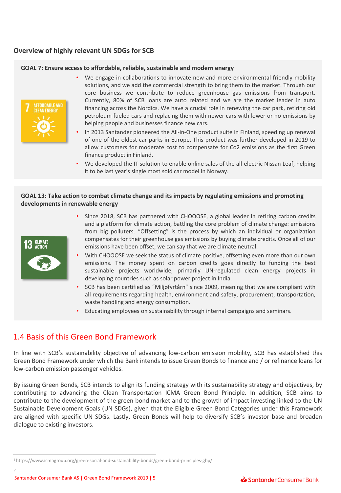### **Overview of highly relevant UN SDGs for SCB**

#### **GOAL 7: Ensure access to affordable, reliable, sustainable and modern energy**



- We engage in collaborations to innovate new and more environmental friendly mobility solutions, and we add the commercial strength to bring them to the market. Through our core business we contribute to reduce greenhouse gas emissions from transport. Currently, 80% of SCB loans are auto related and we are the market leader in auto financing across the Nordics. We have a crucial role in renewing the car park, retiring old petroleum fueled cars and replacing them with newer cars with lower or no emissions by helping people and businesses finance new cars.
- In 2013 Santander pioneered the All-in-One product suite in Finland, speeding up renewal of one of the oldest car parks in Europe. This product was further developed in 2019 to allow customers for moderate cost to compensate for Co2 emissions as the first Green finance product in Finland.
- We developed the IT solution to enable online sales of the all-electric Nissan Leaf, helping it to be last year's single most sold car model in Norway.

#### **GOAL 13: Take action to combat climate change and its impacts by regulating emissions and promoting developments in renewable energy**



- Since 2018, SCB has partnered with CHOOOSE, a global leader in retiring carbon credits and a platform for climate action, battling the core problem of climate change: emissions from big polluters. "Offsetting" is the process by which an individual or organization compensates for their greenhouse gas emissions by buying climate credits. Once all of our emissions have been offset, we can say that we are climate neutral.
- With CHOOOSE we seek the status of climate positive, offsetting even more than our own emissions. The money spent on carbon credits goes directly to funding the best sustainable projects worldwide, primarily UN-regulated clean energy projects in developing countries such as solar power project in India.
- SCB has been certified as "Miljøfyrtårn" since 2009, meaning that we are compliant with all requirements regarding health, environment and safety, procurement, transportation, waste handling and energy consumption.
- Educating employees on sustainability through internal campaigns and seminars.

### 1.4 Basis of this Green Bond Framework

In line with SCB's sustainability objective of advancing low-carbon emission mobility, SCB has established this Green Bond Framework under which the Bank intends to issue Green Bonds to finance and / or refinance loans for low-carbon emission passenger vehicles.

By issuing Green Bonds, SCB intends to align its funding strategy with its sustainability strategy and objectives, by contributing to advancing the Clean Transportation ICMA Green Bond Principle. In addition, SCB aims to contribute to the development of the green bond market and to the growth of impact investing linked to the UN Sustainable Development Goals (UN SDGs), given that the Eligible Green Bond Categories under this Framework are aligned with specific UN SDGs. Lastly, Green Bonds will help to diversify SCB's investor base and broaden dialogue to existing investors.

<sup>2</sup> https://www.icmagroup.org/green-social-and-sustainability-bonds/green-bond-principles-gbp/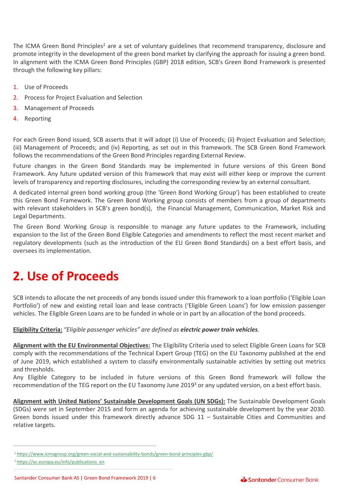The ICMA Green Bond Principles<sup>2</sup> are a set of voluntary guidelines that recommend transparency, disclosure and promote integrity in the development of the green bond market by clarifying the approach for issuing a green bond. In alignment with the ICMA Green Bond Principles (GBP) 2018 edition, SCB's Green Bond Framework is presented through the following key pillars:

- 1. Use of Proceeds
- 2. Process for Project Evaluation and Selection
- 3. Management of Proceeds
- 4. Reporting

For each Green Bond issued, SCB asserts that it will adopt (i) Use of Proceeds; (ii) Project Evaluation and Selection; (iii) Management of Proceeds; and (iv) Reporting, as set out in this framework. The SCB Green Bond Framework follows the recommendations of the Green Bond Principles regarding External Review.

Future changes in the Green Bond Standards may be implemented in future versions of this Green Bond Framework. Any future updated version of this framework that may exist will either keep or improve the current levels of transparency and reporting disclosures, including the corresponding review by an external consultant.

A dedicated internal green bond working group (the 'Green Bond Working Group') has been established to create this Green Bond Framework. The Green Bond Working group consists of members from a group of departments with relevant stakeholders in SCB's green bond(s), the Financial Management, Communication, Market Risk and Legal Departments.

The Green Bond Working Group is responsible to manage any future updates to the Framework, including expansion to the list of the Green Bond Eligible Categories and amendments to reflect the most recent market and regulatory developments (such as the introduction of the EU Green Bond Standards) on a best effort basis, and oversees its implementation.

## **2. Use of Proceeds**

SCB intends to allocate the net proceeds of any bonds issued under this framework to a loan portfolio ('Eligible Loan Portfolio') of new and existing retail loan and lease contracts ('Eligible Green Loans') for low emission passenger vehicles. The Eligible Green Loans are to be funded in whole or in part by an allocation of the bond proceeds.

#### **Eligibility Criteria:** *"Eligible passenger vehicles" are defined as electric power train vehicles.*

**Alignment with the EU Environmental Objectives:** The Eligibility Criteria used to select Eligible Green Loans for SCB comply with the recommendations of the Technical Expert Group (TEG) on the EU Taxonomy published at the end of June 2019, which established a system to classify environmentally sustainable activities by setting out metrics and thresholds.

Any Eligible Category to be included in future versions of this Green Bond framework will follow the recommendation of the TEG report on the EU Taxonomy June 2019<sup>3</sup> or any updated version, on a best effort basis.

**Alignment with United Nations' Sustainable Development Goals (UN SDGs):** The Sustainable Development Goals (SDGs) were set in September 2015 and form an agenda for achieving sustainable development by the year 2030. Green bonds issued under this framework directly advance SDG 11 – Sustainable Cities and Communities and relative targets.



<sup>2</sup> <https://www.icmagroup.org/green-social-and-sustainability-bonds/green-bond-principles-gbp/>

<sup>&</sup>lt;sup>3</sup> [https://ec.europa.eu/info/publications\\_en](https://ec.europa.eu/info/publications_en)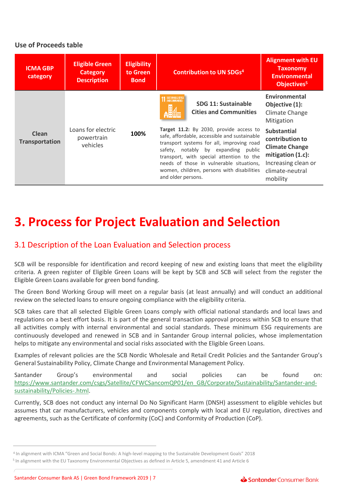### **Use of Proceeds table**

| <b>ICMA GBP</b><br>category    | <b>Eligible Green</b><br>Category<br><b>Description</b> | <b>Eligibility</b><br>to Green<br><b>Bond</b> | <b>Alignment with EU</b><br><b>Taxonomy</b><br><b>Contribution to UN SDGs4</b><br><b>Environmental</b><br>Objectives <sup>5</sup>                                                                                                                                                                                                                                                                                                                                                       |  |
|--------------------------------|---------------------------------------------------------|-----------------------------------------------|-----------------------------------------------------------------------------------------------------------------------------------------------------------------------------------------------------------------------------------------------------------------------------------------------------------------------------------------------------------------------------------------------------------------------------------------------------------------------------------------|--|
|                                | Loans for electric<br>powertrain<br>vehicles            | 100%                                          | Environmental<br>SUSTAINABLE CITIES<br>SDG 11: Sustainable<br>Objective (1):<br><b>Cities and Communities</b><br>Climate Change<br>Mitigation                                                                                                                                                                                                                                                                                                                                           |  |
| Clean<br><b>Transportation</b> |                                                         |                                               | Target 11.2: By 2030, provide access to<br><b>Substantial</b><br>safe, affordable, accessible and sustainable<br>contribution to<br>transport systems for all, improving road<br><b>Climate Change</b><br>safety, notably by expanding public<br>mitigation $(1.c)$ :<br>transport, with special attention to the<br>Increasing clean or<br>needs of those in vulnerable situations,<br>women, children, persons with disabilities<br>climate-neutral<br>and older persons.<br>mobility |  |

## **3. Process for Project Evaluation and Selection**

### 3.1 Description of the Loan Evaluation and Selection process

SCB will be responsible for identification and record keeping of new and existing loans that meet the eligibility criteria. A green register of Eligible Green Loans will be kept by SCB and SCB will select from the register the Eligible Green Loans available for green bond funding.

The Green Bond Working Group will meet on a regular basis (at least annually) and will conduct an additional review on the selected loans to ensure ongoing compliance with the eligibility criteria.

SCB takes care that all selected Eligible Green Loans comply with official national standards and local laws and regulations on a best effort basis. It is part of the general transaction approval process within SCB to ensure that all activities comply with internal environmental and social standards. These minimum ESG requirements are continuously developed and renewed in SCB and in Santander Group internal policies, whose implementation helps to mitigate any environmental and social risks associated with the Eligible Green Loans.

Examples of relevant policies are the SCB Nordic Wholesale and Retail Credit Policies and the Santander Group's General Sustainability Policy, Climate Change and Environmental Management Policy.

Santander Group's environmental and social policies can be found on: [https://www.santander.com/csgs/Satellite/CFWCSancomQP01/en\\_GB/Corporate/Sustainability/Santander-and](https://www.santander.com/csgs/Satellite/CFWCSancomQP01/en_GB/Corporate/Sustainability/Santander-and-sustainability/Policies-.html)sustainability/Policies-.html.

Currently, SCB does not conduct any internal Do No Significant Harm (DNSH) assessment to eligible vehicles but assumes that car manufacturers, vehicles and components comply with local and EU regulation, directives and agreements, such as the Certificate of conformity (CoC) and Conformity of Production (CoP).

<sup>4</sup> In alignment with ICMA "Green and Social Bonds: A high-level mapping to the Sustainable Development Goals" 2018

<sup>&</sup>lt;sup>5</sup> In alignment with the EU Taxonomy Environmental Objectives as defined in Article 5, amendment 41 and Article 6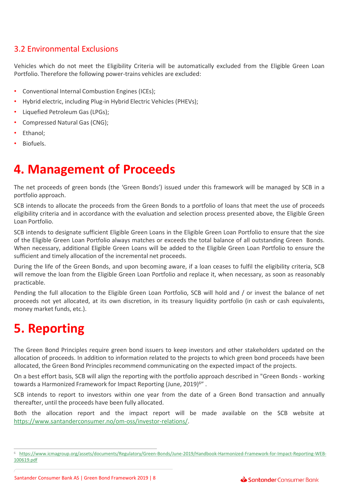### 3.2 Environmental Exclusions

Vehicles which do not meet the Eligibility Criteria will be automatically excluded from the Eligible Green Loan Portfolio. Therefore the following power-trains vehicles are excluded:

- Conventional Internal Combustion Engines (ICEs);
- Hybrid electric, including Plug-in Hybrid Electric Vehicles (PHEVs);
- Liquefied Petroleum Gas (LPGs);
- Compressed Natural Gas (CNG);
- Ethanol;
- Biofuels.

## **4. Management of Proceeds**

The net proceeds of green bonds (the 'Green Bonds') issued under this framework will be managed by SCB in a portfolio approach.

SCB intends to allocate the proceeds from the Green Bonds to a portfolio of loans that meet the use of proceeds eligibility criteria and in accordance with the evaluation and selection process presented above, the Eligible Green Loan Portfolio.

SCB intends to designate sufficient Eligible Green Loans in the Eligible Green Loan Portfolio to ensure that the size of the Eligible Green Loan Portfolio always matches or exceeds the total balance of all outstanding Green Bonds. When necessary, additional Eligible Green Loans will be added to the Eligible Green Loan Portfolio to ensure the sufficient and timely allocation of the incremental net proceeds.

During the life of the Green Bonds, and upon becoming aware, if a loan ceases to fulfil the eligibility criteria, SCB will remove the loan from the Eligible Green Loan Portfolio and replace it, when necessary, as soon as reasonably practicable.

Pending the full allocation to the Eligible Green Loan Portfolio, SCB will hold and / or invest the balance of net proceeds not yet allocated, at its own discretion, in its treasury liquidity portfolio (in cash or cash equivalents, money market funds, etc.).

## **5. Reporting**

The Green Bond Principles require green bond issuers to keep investors and other stakeholders updated on the allocation of proceeds. In addition to information related to the projects to which green bond proceeds have been allocated, the Green Bond Principles recommend communicating on the expected impact of the projects.

On a best effort basis, SCB will align the reporting with the portfolio approach described in "Green Bonds - working towards a Harmonized Framework for Impact Reporting (June, 2019)<sup>6</sup>".

SCB intends to report to investors within one year from the date of a Green Bond transaction and annually thereafter, until the proceeds have been fully allocated.

Both the allocation report and the impact report will be made available on the SCB website at <https://www.santanderconsumer.no/om-oss/investor-relations/>.

<sup>6</sup> [https://www.icmagroup.org/assets/documents/Regulatory/Green-Bonds/June-2019/Handbook-Harmonized-Framework-for-Impact-Reporting-WEB-](https://www.icmagroup.org/assets/documents/Regulatory/Green-Bonds/June-2019/Handbook-Harmonized-Framework-for-Impact-Reporting-WEB-100619.pdf)100619.pdf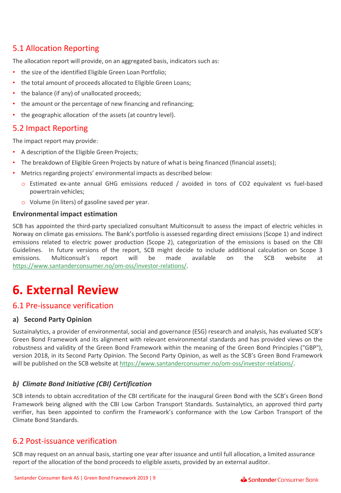## 5.1 Allocation Reporting

The allocation report will provide, on an aggregated basis, indicators such as:

- the size of the identified Eligible Green Loan Portfolio;
- the total amount of proceeds allocated to Eligible Green Loans;
- the balance (if any) of unallocated proceeds;
- the amount or the percentage of new financing and refinancing;
- the geographic allocation of the assets (at country level).

### 5.2 Impact Reporting

The impact report may provide:

- A description of the Eligible Green Projects;
- The breakdown of Eligible Green Projects by nature of what is being financed (financial assets);
- Metrics regarding projects' environmental impacts as described below:
	- o Estimated ex-ante annual GHG emissions reduced / avoided in tons of CO2 equivalent vs fuel-based powertrain vehicles;
	- o Volume (in liters) of gasoline saved per year.

#### **Environmental impact estimation**

SCB has appointed the third-party specialized consultant Multiconsult to assess the impact of electric vehicles in Norway on climate gas emissions. The Bank's portfolio is assessed regarding direct emissions (Scope 1) and indirect emissions related to electric power production (Scope 2), categorization of the emissions is based on the CBI Guidelines. In future versions of the report, SCB might decide to include additional calculation on Scope 3 emissions. Multiconsult's report will be made available on the SCB website at [https://www.santanderconsumer.no/om-oss/investor-relations/.](https://www.santanderconsumer.no/om-oss/investor-relations/)

## **6. External Review**

### 6.1 Pre-issuance verification

#### **a) Second Party Opinion**

Sustainalytics, a provider of environmental, social and governance (ESG) research and analysis, has evaluated SCB's Green Bond Framework and its alignment with relevant environmental standards and has provided views on the robustness and validity of the Green Bond Framework within the meaning of the Green Bond Principles ("GBP"), version 2018, in its Second Party Opinion. The Second Party Opinion, as well as the SCB's Green Bond Framework will be published on the SCB website at [https://www.santanderconsumer.no/om-oss/investor-relations/.](https://www.santanderconsumer.no/om-oss/investor-relations/)

### *b) Climate Bond Initiative (CBI) Certification*

SCB intends to obtain accreditation of the CBI certificate for the inaugural Green Bond with the SCB's Green Bond Framework being aligned with the CBI Low Carbon Transport Standards. Sustainalytics, an approved third party verifier, has been appointed to confirm the Framework's conformance with the Low Carbon Transport of the Climate Bond Standards.

### 6.2 Post-issuance verification

SCB may request on an annual basis, starting one year after issuance and until full allocation, a limited assurance report of the allocation of the bond proceeds to eligible assets, provided by an external auditor.